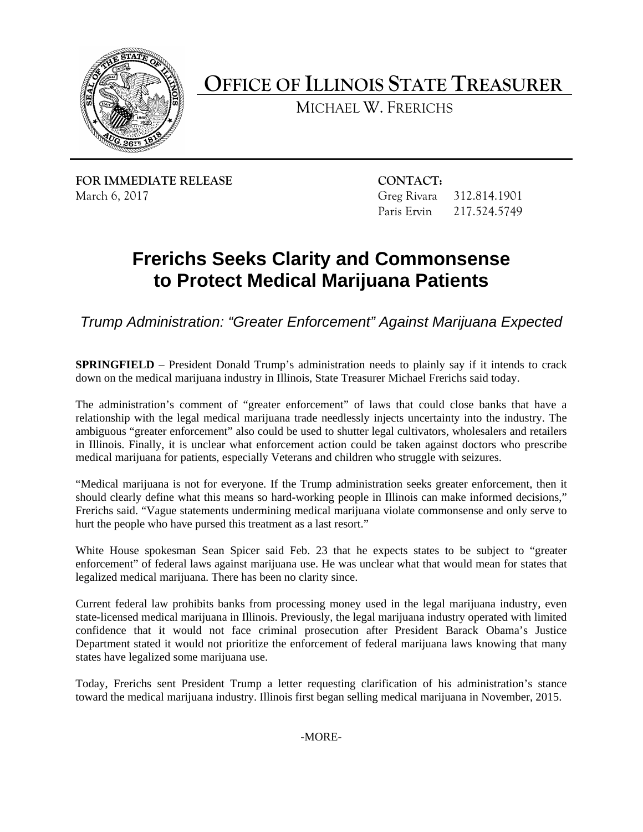

**OFFICE OF ILLINOIS STATE TREASURER**

MICHAEL W. FRERICHS

**FOR IMMEDIATE RELEASE CONTACT:** March 6, 2017 Greg Rivara 312.814.1901

Paris Ervin 217.524.5749

## **Frerichs Seeks Clarity and Commonsense to Protect Medical Marijuana Patients**

*Trump Administration: "Greater Enforcement" Against Marijuana Expected*

**SPRINGFIELD** – President Donald Trump's administration needs to plainly say if it intends to crack down on the medical marijuana industry in Illinois, State Treasurer Michael Frerichs said today.

The administration's comment of "greater enforcement" of laws that could close banks that have a relationship with the legal medical marijuana trade needlessly injects uncertainty into the industry. The ambiguous "greater enforcement" also could be used to shutter legal cultivators, wholesalers and retailers in Illinois. Finally, it is unclear what enforcement action could be taken against doctors who prescribe medical marijuana for patients, especially Veterans and children who struggle with seizures.

"Medical marijuana is not for everyone. If the Trump administration seeks greater enforcement, then it should clearly define what this means so hard-working people in Illinois can make informed decisions," Frerichs said. "Vague statements undermining medical marijuana violate commonsense and only serve to hurt the people who have pursed this treatment as a last resort."

White House spokesman Sean Spicer said Feb. 23 that he expects states to be subject to "greater enforcement" of federal laws against marijuana use. He was unclear what that would mean for states that legalized medical marijuana. There has been no clarity since.

Current federal law prohibits banks from processing money used in the legal marijuana industry, even state-licensed medical marijuana in Illinois. Previously, the legal marijuana industry operated with limited confidence that it would not face criminal prosecution after President Barack Obama's Justice Department stated it would not prioritize the enforcement of federal marijuana laws knowing that many states have legalized some marijuana use.

Today, Frerichs sent President Trump a letter requesting clarification of his administration's stance toward the medical marijuana industry. Illinois first began selling medical marijuana in November, 2015.

-MORE-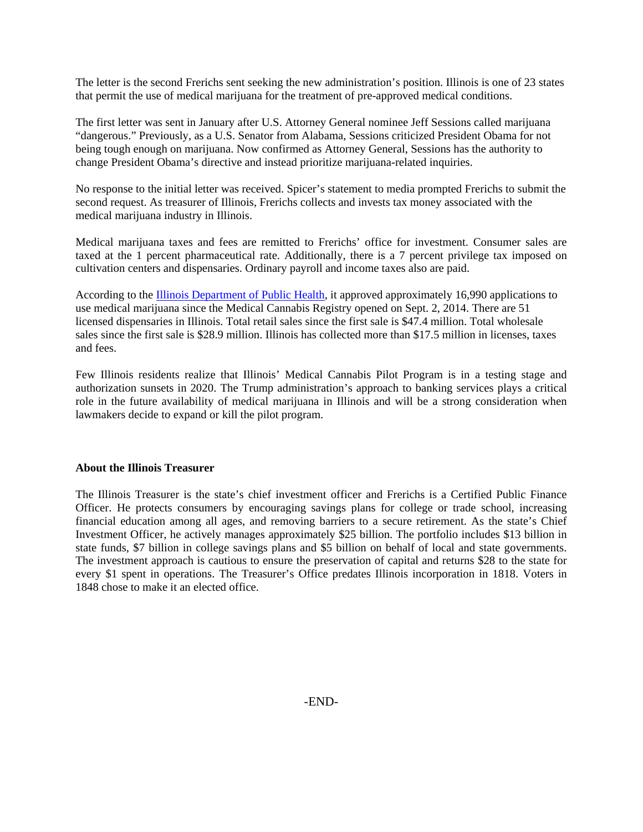The letter is the second Frerichs sent seeking the new administration's position. Illinois is one of 23 states that permit the use of medical marijuana for the treatment of pre-approved medical conditions.

The first letter was sent in January after U.S. Attorney General nominee Jeff Sessions called marijuana "dangerous." Previously, as a U.S. Senator from Alabama, Sessions criticized President Obama for not being tough enough on marijuana. Now confirmed as Attorney General, Sessions has the authority to change President Obama's directive and instead prioritize marijuana-related inquiries.

No response to the initial letter was received. Spicer's statement to media prompted Frerichs to submit the second request. As treasurer of Illinois, Frerichs collects and invests tax money associated with the medical marijuana industry in Illinois.

Medical marijuana taxes and fees are remitted to Frerichs' office for investment. Consumer sales are taxed at the 1 percent pharmaceutical rate. Additionally, there is a 7 percent privilege tax imposed on cultivation centers and dispensaries. Ordinary payroll and income taxes also are paid.

According to the [Illinois Department of Public Health,](https://www.illinois.gov/gov/mcpp/Pages/default.aspx) it approved approximately 16,990 applications to use medical marijuana since the Medical Cannabis Registry opened on Sept. 2, 2014. There are 51 licensed dispensaries in Illinois. Total retail sales since the first sale is \$47.4 million. Total wholesale sales since the first sale is \$28.9 million. Illinois has collected more than \$17.5 million in licenses, taxes and fees.

Few Illinois residents realize that Illinois' Medical Cannabis Pilot Program is in a testing stage and authorization sunsets in 2020. The Trump administration's approach to banking services plays a critical role in the future availability of medical marijuana in Illinois and will be a strong consideration when lawmakers decide to expand or kill the pilot program.

## **About the Illinois Treasurer**

The Illinois Treasurer is the state's chief investment officer and Frerichs is a Certified Public Finance Officer. He protects consumers by encouraging savings plans for college or trade school, increasing financial education among all ages, and removing barriers to a secure retirement. As the state's Chief Investment Officer, he actively manages approximately \$25 billion. The portfolio includes \$13 billion in state funds, \$7 billion in college savings plans and \$5 billion on behalf of local and state governments. The investment approach is cautious to ensure the preservation of capital and returns \$28 to the state for every \$1 spent in operations. The Treasurer's Office predates Illinois incorporation in 1818. Voters in 1848 chose to make it an elected office.